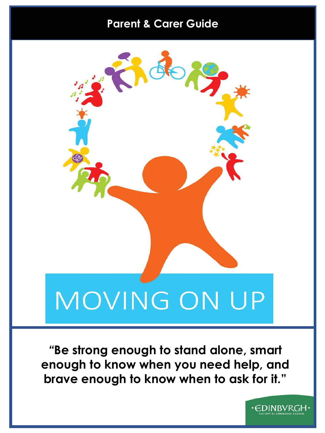# **Parent & Carer Guide**



*"***Be strong enough to stand alone, smart enough to know when you need help, and brave enough to know when to ask for it."**